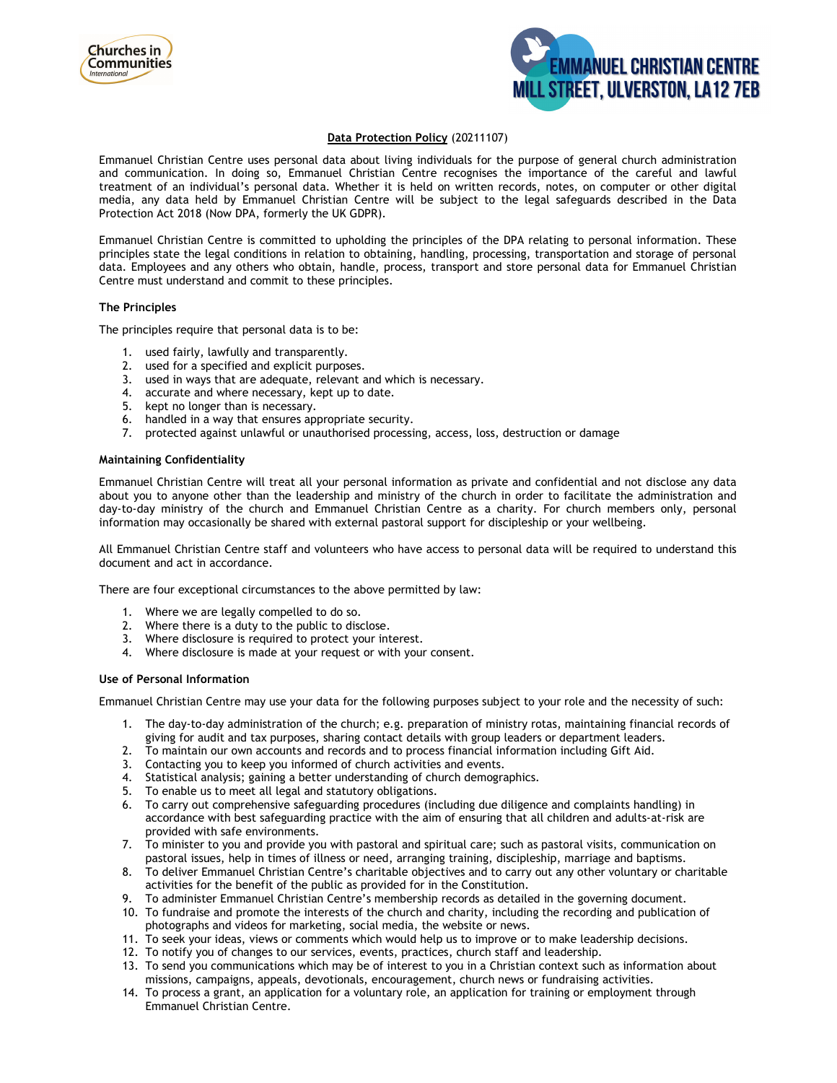



# **Data Protection Policy** (20211107)

Emmanuel Christian Centre uses personal data about living individuals for the purpose of general church administration and communication. In doing so, Emmanuel Christian Centre recognises the importance of the careful and lawful treatment of an individual's personal data. Whether it is held on written records, notes, on computer or other digital media, any data held by Emmanuel Christian Centre will be subject to the legal safeguards described in the Data Protection Act 2018 (Now DPA, formerly the UK GDPR).

Emmanuel Christian Centre is committed to upholding the principles of the DPA relating to personal information. These principles state the legal conditions in relation to obtaining, handling, processing, transportation and storage of personal data. Employees and any others who obtain, handle, process, transport and store personal data for Emmanuel Christian Centre must understand and commit to these principles.

## **The Principles**

The principles require that personal data is to be:

- 1. used fairly, lawfully and transparently.
- 2. used for a specified and explicit purposes.
- 3. used in ways that are adequate, relevant and which is necessary.
- 4. accurate and where necessary, kept up to date.
- 5. kept no longer than is necessary.
- 6. handled in a way that ensures appropriate security.
- 7. protected against unlawful or unauthorised processing, access, loss, destruction or damage

### **Maintaining Confidentiality**

Emmanuel Christian Centre will treat all your personal information as private and confidential and not disclose any data about you to anyone other than the leadership and ministry of the church in order to facilitate the administration and day-to-day ministry of the church and Emmanuel Christian Centre as a charity. For church members only, personal information may occasionally be shared with external pastoral support for discipleship or your wellbeing.

All Emmanuel Christian Centre staff and volunteers who have access to personal data will be required to understand this document and act in accordance.

There are four exceptional circumstances to the above permitted by law:

- 1. Where we are legally compelled to do so.
- 2. Where there is a duty to the public to disclose.
- 3. Where disclosure is required to protect your interest.
- 4. Where disclosure is made at your request or with your consent.

#### **Use of Personal Information**

Emmanuel Christian Centre may use your data for the following purposes subject to your role and the necessity of such:

- 1. The day-to-day administration of the church; e.g. preparation of ministry rotas, maintaining financial records of giving for audit and tax purposes, sharing contact details with group leaders or department leaders.
- 2. To maintain our own accounts and records and to process financial information including Gift Aid.
- 3. To maintain our own accounts and records and contractivities and events.<br>3. Contacting you to keep you informed of church activities and events.
- 4. Statistical analysis; gaining a better understanding of church demographics.
- 5. To enable us to meet all legal and statutory obligations.
- 6. To carry out comprehensive safeguarding procedures (including due diligence and complaints handling) in accordance with best safeguarding practice with the aim of ensuring that all children and adults-at-risk are provided with safe environments.
- 7. To minister to you and provide you with pastoral and spiritual care; such as pastoral visits, communication on pastoral issues, help in times of illness or need, arranging training, discipleship, marriage and baptisms.
- 8. To deliver Emmanuel Christian Centre's charitable objectives and to carry out any other voluntary or charitable activities for the benefit of the public as provided for in the Constitution.
- 9. To administer Emmanuel Christian Centre's membership records as detailed in the governing document.
- 10. To fundraise and promote the interests of the church and charity, including the recording and publication of photographs and videos for marketing, social media, the website or news.
- 11. To seek your ideas, views or comments which would help us to improve or to make leadership decisions.
- 12. To notify you of changes to our services, events, practices, church staff and leadership.
- 13. To send you communications which may be of interest to you in a Christian context such as information about missions, campaigns, appeals, devotionals, encouragement, church news or fundraising activities.
- 14. To process a grant, an application for a voluntary role, an application for training or employment through Emmanuel Christian Centre.